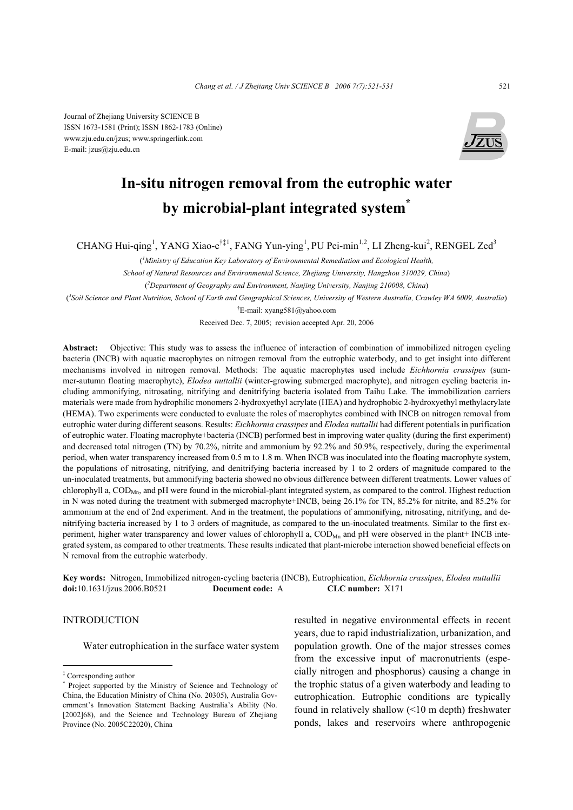Journal of Zhejiang University SCIENCE B ISSN 1673-1581 (Print); ISSN 1862-1783 (Online) www.zju.edu.cn/jzus; www.springerlink.com E-mail: jzus@zju.edu.cn



# **In-situ nitrogen removal from the eutrophic water by microbial-plant integrated system\***

CHANG Hui-qing<sup>1</sup>, YANG Xiao-e<sup>†‡1</sup>, FANG Yun-ying<sup>1</sup>, PU Pei-min<sup>1,2</sup>, LI Zheng-kui<sup>2</sup>, RENGEL Zed<sup>3</sup>

( *1 Ministry of Education Key Laboratory of Environmental Remediation and Ecological Health,* 

*School of Natural Resources and Environmental Science, Zhejiang University, Hangzhou 310029, China*)

( *2 Department of Geography and Environment, Nanjing University, Nanjing 210008, China*)

( *3 Soil Science and Plant Nutrition, School of Earth and Geographical Sciences, University of Western Australia, Crawley WA 6009, Australia*)

† E-mail: xyang581@yahoo.com

Received Dec. 7, 2005; revision accepted Apr. 20, 2006

**Abstract:** Objective: This study was to assess the influence of interaction of combination of immobilized nitrogen cycling bacteria (INCB) with aquatic macrophytes on nitrogen removal from the eutrophic waterbody, and to get insight into different mechanisms involved in nitrogen removal. Methods: The aquatic macrophytes used include *Eichhornia crassipes* (summer-autumn floating macrophyte), *Elodea nuttallii* (winter-growing submerged macrophyte), and nitrogen cycling bacteria including ammonifying, nitrosating, nitrifying and denitrifying bacteria isolated from Taihu Lake. The immobilization carriers materials were made from hydrophilic monomers 2-hydroxyethyl acrylate (HEA) and hydrophobic 2-hydroxyethyl methylacrylate (HEMA). Two experiments were conducted to evaluate the roles of macrophytes combined with INCB on nitrogen removal from eutrophic water during different seasons. Results: *Eichhornia crassipes* and *Elodea nuttallii* had different potentials in purification of eutrophic water. Floating macrophyte+bacteria (INCB) performed best in improving water quality (during the first experiment) and decreased total nitrogen (TN) by 70.2%, nitrite and ammonium by 92.2% and 50.9%, respectively, during the experimental period, when water transparency increased from 0.5 m to 1.8 m. When INCB was inoculated into the floating macrophyte system, the populations of nitrosating, nitrifying, and denitrifying bacteria increased by 1 to 2 orders of magnitude compared to the un-inoculated treatments, but ammonifying bacteria showed no obvious difference between different treatments. Lower values of chlorophyll a, COD<sub>Mn</sub>, and pH were found in the microbial-plant integrated system, as compared to the control. Highest reduction in N was noted during the treatment with submerged macrophyte+INCB, being 26.1% for TN, 85.2% for nitrite, and 85.2% for ammonium at the end of 2nd experiment. And in the treatment, the populations of ammonifying, nitrosating, nitrifying, and denitrifying bacteria increased by 1 to 3 orders of magnitude, as compared to the un-inoculated treatments. Similar to the first experiment, higher water transparency and lower values of chlorophyll a, COD<sub>Mn</sub> and pH were observed in the plant+ INCB integrated system, as compared to other treatments. These results indicated that plant-microbe interaction showed beneficial effects on N removal from the eutrophic waterbody.

**Key words:** Nitrogen, Immobilized nitrogen-cycling bacteria (INCB), Eutrophication, *Eichhornia crassipes*, *Elodea nuttallii* **doi:**10.1631/jzus.2006.B0521 **Document code:** A **CLC number:** X171

## INTRODUCTION

Water eutrophication in the surface water system

resulted in negative environmental effects in recent years, due to rapid industrialization, urbanization, and population growth. One of the major stresses comes from the excessive input of macronutrients (especially nitrogen and phosphorus) causing a change in the trophic status of a given waterbody and leading to eutrophication. Eutrophic conditions are typically found in relatively shallow (<10 m depth) freshwater ponds, lakes and reservoirs where anthropogenic

<sup>‡</sup> Corresponding author

<sup>\*</sup> Project supported by the Ministry of Science and Technology of China, the Education Ministry of China (No. 20305), Australia Government's Innovation Statement Backing Australia's Ability (No. [2002]68), and the Science and Technology Bureau of Zhejiang Province (No. 2005C22020), China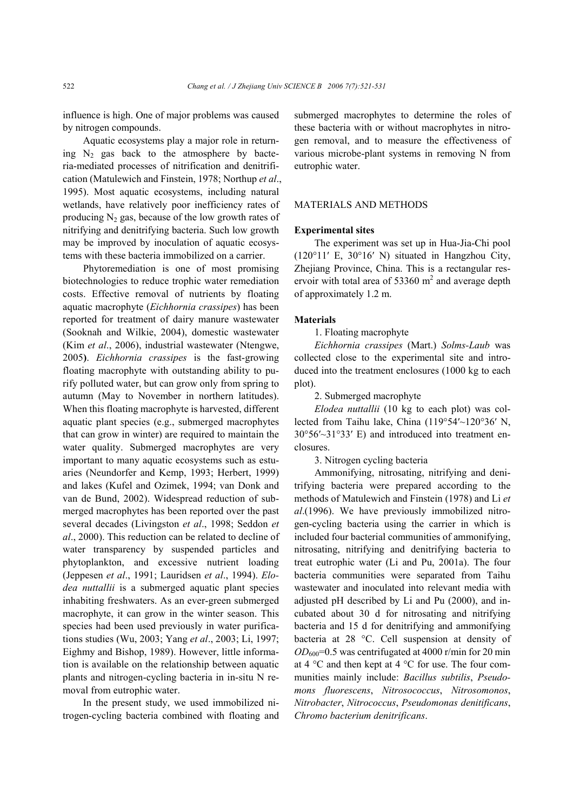influence is high. One of major problems was caused by nitrogen compounds.

Aquatic ecosystems play a major role in returning  $N_2$  gas back to the atmosphere by bacteria-mediated processes of nitrification and denitrification (Matulewich and Finstein, 1978; Northup *et al*., 1995). Most aquatic ecosystems, including natural wetlands, have relatively poor inefficiency rates of producing  $N_2$  gas, because of the low growth rates of nitrifying and denitrifying bacteria. Such low growth may be improved by inoculation of aquatic ecosystems with these bacteria immobilized on a carrier.

Phytoremediation is one of most promising biotechnologies to reduce trophic water remediation costs. Effective removal of nutrients by floating aquatic macrophyte (*Eichhornia crassipes*) has been reported for treatment of dairy manure wastewater (Sooknah and Wilkie, 2004), domestic wastewater (Kim *et al*., 2006), industrial wastewater (Ntengwe, 2005**)**. *Eichhornia crassipes* is the fast-growing floating macrophyte with outstanding ability to purify polluted water, but can grow only from spring to autumn (May to November in northern latitudes). When this floating macrophyte is harvested, different aquatic plant species (e.g., submerged macrophytes that can grow in winter) are required to maintain the water quality. Submerged macrophytes are very important to many aquatic ecosystems such as estuaries (Neundorfer and Kemp, 1993; Herbert, 1999) and lakes (Kufel and Ozimek, 1994; van Donk and van de Bund, 2002). Widespread reduction of submerged macrophytes has been reported over the past several decades (Livingston *et al*., 1998; Seddon *et al*., 2000). This reduction can be related to decline of water transparency by suspended particles and phytoplankton, and excessive nutrient loading (Jeppesen *et al*., 1991; Lauridsen *et al*., 1994). *Elodea nuttallii* is a submerged aquatic plant species inhabiting freshwaters. As an ever-green submerged macrophyte, it can grow in the winter season. This species had been used previously in water purifications studies (Wu, 2003; Yang *et al*., 2003; Li, 1997; Eighmy and Bishop, 1989). However, little information is available on the relationship between aquatic plants and nitrogen-cycling bacteria in in-situ N removal from eutrophic water.

In the present study, we used immobilized nitrogen-cycling bacteria combined with floating and submerged macrophytes to determine the roles of these bacteria with or without macrophytes in nitrogen removal, and to measure the effectiveness of various microbe-plant systems in removing N from eutrophic water.

## MATERIALS AND METHODS

#### **Experimental sites**

The experiment was set up in Hua-Jia-Chi pool (120°11′ E, 30°16′ N) situated in Hangzhou City, Zhejiang Province, China. This is a rectangular reservoir with total area of 53360  $m^2$  and average depth of approximately 1.2 m.

## **Materials**

1. Floating macrophyte

*Eichhornia crassipes* (Mart.) *Solms-Laub* was collected close to the experimental site and introduced into the treatment enclosures (1000 kg to each plot).

2. Submerged macrophyte

*Elodea nuttallii* (10 kg to each plot) was collected from Taihu lake, China (119°54′~120°36′ N, 30°56′~31°33′ E) and introduced into treatment enclosures.

3. Nitrogen cycling bacteria

Ammonifying, nitrosating, nitrifying and denitrifying bacteria were prepared according to the methods of Matulewich and Finstein (1978) and Li *et al*.(1996). We have previously immobilized nitrogen-cycling bacteria using the carrier in which is included four bacterial communities of ammonifying, nitrosating, nitrifying and denitrifying bacteria to treat eutrophic water (Li and Pu, 2001a). The four bacteria communities were separated from Taihu wastewater and inoculated into relevant media with adjusted pH described by Li and Pu (2000), and incubated about 30 d for nitrosating and nitrifying bacteria and 15 d for denitrifying and ammonifying bacteria at 28 °C. Cell suspension at density of  $OD_{600}$ =0.5 was centrifugated at 4000 r/min for 20 min at 4 °C and then kept at 4 °C for use. The four communities mainly include: *Bacillus subtilis*, *Pseudomons fluorescens*, *Nitrosococcus*, *Nitrosomonos*, *Nitrobacter*, *Nitrococcus*, *Pseudomonas denitificans*, *Chromo bacterium denitrificans*.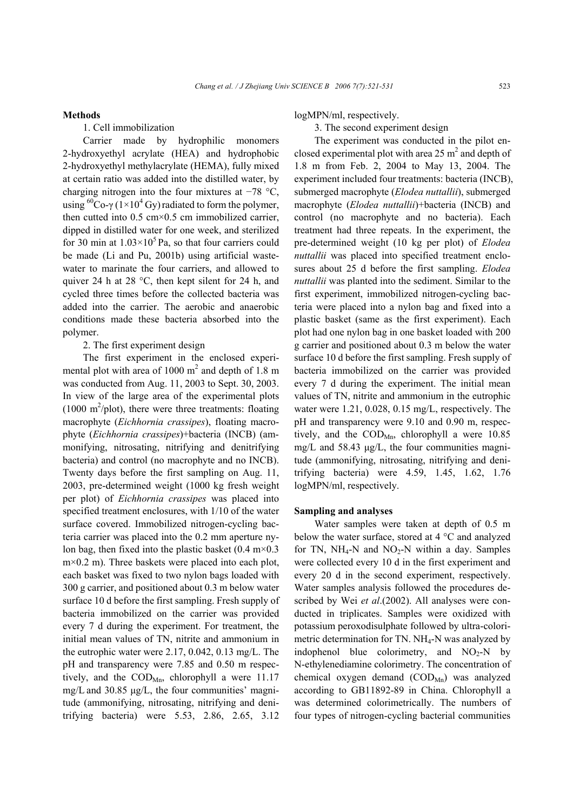## **Methods**

1. Cell immobilization

Carrier made by hydrophilic monomers 2-hydroxyethyl acrylate (HEA) and hydrophobic 2-hydroxyethyl methylacrylate (HEMA), fully mixed at certain ratio was added into the distilled water, by charging nitrogen into the four mixtures at −78 °C, using <sup>60</sup>Co-γ (1×10<sup>4</sup> Gy) radiated to form the polymer, then cutted into  $0.5 \text{ cm} \times 0.5 \text{ cm}$  immobilized carrier, dipped in distilled water for one week, and sterilized for 30 min at  $1.03 \times 10^5$  Pa, so that four carriers could be made (Li and Pu, 2001b) using artificial wastewater to marinate the four carriers, and allowed to quiver 24 h at 28 °C, then kept silent for 24 h, and cycled three times before the collected bacteria was added into the carrier. The aerobic and anaerobic conditions made these bacteria absorbed into the polymer.

2. The first experiment design

The first experiment in the enclosed experimental plot with area of  $1000 \text{ m}^2$  and depth of 1.8 m was conducted from Aug. 11, 2003 to Sept. 30, 2003. In view of the large area of the experimental plots  $(1000 \text{ m}^2/\text{plot})$ , there were three treatments: floating macrophyte (*Eichhornia crassipes*), floating macrophyte (*Eichhornia crassipes*)+bacteria (INCB) (ammonifying, nitrosating, nitrifying and denitrifying bacteria) and control (no macrophyte and no INCB). Twenty days before the first sampling on Aug. 11, 2003, pre-determined weight (1000 kg fresh weight per plot) of *Eichhornia crassipes* was placed into specified treatment enclosures, with 1/10 of the water surface covered. Immobilized nitrogen-cycling bacteria carrier was placed into the 0.2 mm aperture nylon bag, then fixed into the plastic basket  $(0.4 \text{ m} \times 0.3)$ m×0.2 m). Three baskets were placed into each plot, each basket was fixed to two nylon bags loaded with 300 g carrier, and positioned about 0.3 m below water surface 10 d before the first sampling. Fresh supply of bacteria immobilized on the carrier was provided every 7 d during the experiment. For treatment, the initial mean values of TN, nitrite and ammonium in the eutrophic water were 2.17, 0.042, 0.13 mg/L. The pH and transparency were 7.85 and 0.50 m respectively, and the  $\text{COD}_{\text{Mn}}$ , chlorophyll a were 11.17 mg/L and 30.85 µg/L, the four communities' magnitude (ammonifying, nitrosating, nitrifying and denitrifying bacteria) were 5.53, 2.86, 2.65, 3.12

logMPN/ml, respectively.

3. The second experiment design

The experiment was conducted in the pilot enclosed experimental plot with area 25  $m^2$  and depth of 1.8 m from Feb. 2, 2004 to May 13, 2004. The experiment included four treatments: bacteria (INCB), submerged macrophyte (*Elodea nuttallii*), submerged macrophyte (*Elodea nuttallii*)+bacteria (INCB) and control (no macrophyte and no bacteria). Each treatment had three repeats. In the experiment, the pre-determined weight (10 kg per plot) of *Elodea nuttallii* was placed into specified treatment enclosures about 25 d before the first sampling. *Elodea nuttallii* was planted into the sediment. Similar to the first experiment, immobilized nitrogen-cycling bacteria were placed into a nylon bag and fixed into a plastic basket (same as the first experiment). Each plot had one nylon bag in one basket loaded with 200 g carrier and positioned about 0.3 m below the water surface 10 d before the first sampling. Fresh supply of bacteria immobilized on the carrier was provided every 7 d during the experiment. The initial mean values of TN, nitrite and ammonium in the eutrophic water were 1.21, 0.028, 0.15 mg/L, respectively. The pH and transparency were 9.10 and 0.90 m, respectively, and the  $\text{COD}_{\text{Mn}}$ , chlorophyll a were 10.85 mg/L and 58.43 µg/L, the four communities magnitude (ammonifying, nitrosating, nitrifying and denitrifying bacteria) were 4.59, 1.45, 1.62, 1.76 logMPN/ml, respectively.

# **Sampling and analyses**

Water samples were taken at depth of 0.5 m below the water surface, stored at 4 °C and analyzed for TN,  $NH_4$ -N and  $NO_2$ -N within a day. Samples were collected every 10 d in the first experiment and every 20 d in the second experiment, respectively. Water samples analysis followed the procedures described by Wei *et al*.(2002). All analyses were conducted in triplicates. Samples were oxidized with potassium peroxodisulphate followed by ultra-colorimetric determination for TN. NH4-N was analyzed by indophenol blue colorimetry, and  $NO<sub>2</sub>-N$  by N-ethylenediamine colorimetry. The concentration of chemical oxygen demand  $(COD<sub>Mn</sub>)$  was analyzed according to GB11892-89 in China. Chlorophyll a was determined colorimetrically. The numbers of four types of nitrogen-cycling bacterial communities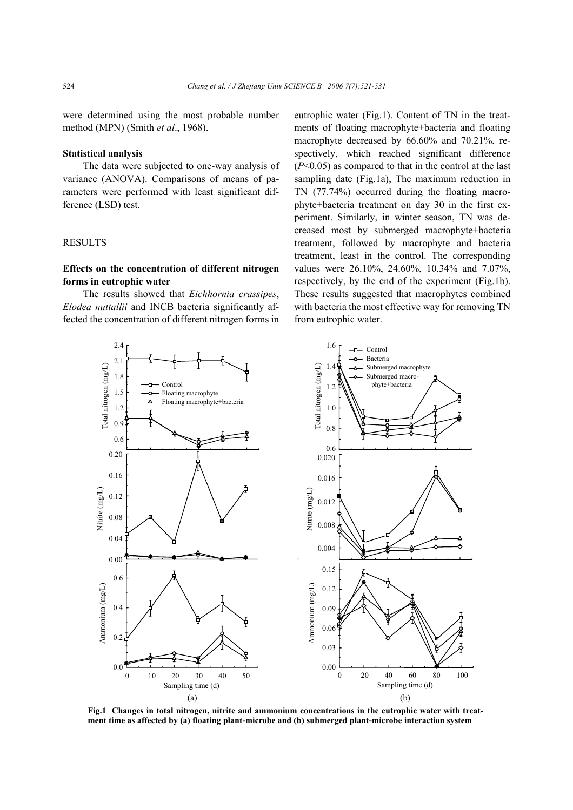were determined using the most probable number method (MPN) (Smith *et al*., 1968).

#### **Statistical analysis**

The data were subjected to one-way analysis of variance (ANOVA). Comparisons of means of parameters were performed with least significant difference (LSD) test.

#### RESULTS

# **Effects on the concentration of different nitrogen forms in eutrophic water**

The results showed that *Eichhornia crassipes*, *Elodea nuttallii* and INCB bacteria significantly affected the concentration of different nitrogen forms in eutrophic water (Fig.1). Content of TN in the treatments of floating macrophyte+bacteria and floating macrophyte decreased by 66.60% and 70.21%, respectively, which reached significant difference (*P*<0.05) as compared to that in the control at the last sampling date (Fig.1a), The maximum reduction in TN (77.74%) occurred during the floating macrophyte+bacteria treatment on day 30 in the first experiment. Similarly, in winter season, TN was decreased most by submerged macrophyte+bacteria treatment, followed by macrophyte and bacteria treatment, least in the control. The corresponding values were 26.10%, 24.60%, 10.34% and 7.07%, respectively, by the end of the experiment (Fig.1b). These results suggested that macrophytes combined with bacteria the most effective way for removing TN from eutrophic water.



**Fig.1 Changes in total nitrogen, nitrite and ammonium concentrations in the eutrophic water with treatment time as affected by (a) floating plant-microbe and (b) submerged plant-microbe interaction system**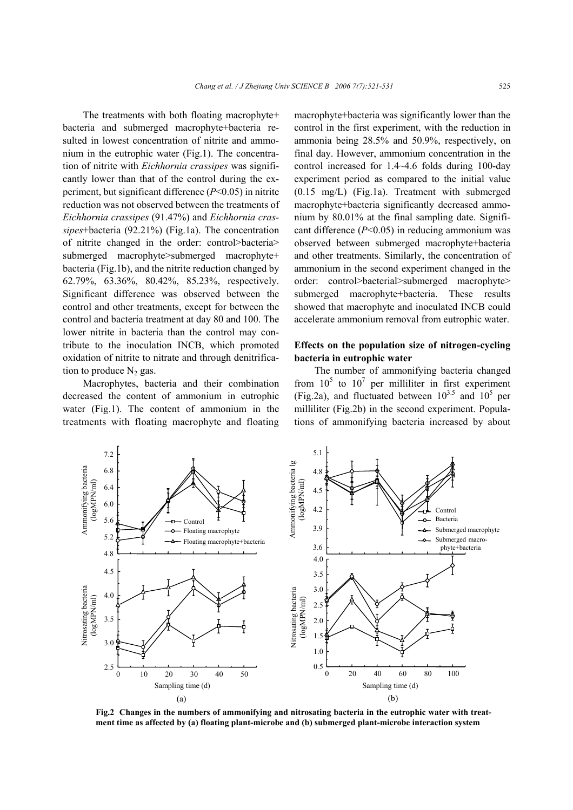The treatments with both floating macrophyte+ bacteria and submerged macrophyte+bacteria resulted in lowest concentration of nitrite and ammonium in the eutrophic water (Fig.1). The concentration of nitrite with *Eichhornia crassipes* was significantly lower than that of the control during the experiment, but significant difference (*P*<0.05) in nitrite reduction was not observed between the treatments of *Eichhornia crassipes* (91.47%) and *Eichhornia crassipes*+bacteria (92.21%) (Fig.1a). The concentration of nitrite changed in the order: control>bacteria> submerged macrophyte>submerged macrophyte+ bacteria (Fig.1b), and the nitrite reduction changed by 62.79%, 63.36%, 80.42%, 85.23%, respectively. Significant difference was observed between the control and other treatments, except for between the control and bacteria treatment at day 80 and 100. The lower nitrite in bacteria than the control may contribute to the inoculation INCB, which promoted oxidation of nitrite to nitrate and through denitrification to produce  $N_2$  gas.

Macrophytes, bacteria and their combination decreased the content of ammonium in eutrophic water (Fig.1). The content of ammonium in the treatments with floating macrophyte and floating macrophyte+bacteria was significantly lower than the control in the first experiment, with the reduction in ammonia being 28.5% and 50.9%, respectively, on final day. However, ammonium concentration in the control increased for 1.4~4.6 folds during 100-day experiment period as compared to the initial value (0.15 mg/L) (Fig.1a). Treatment with submerged macrophyte+bacteria significantly decreased ammonium by 80.01% at the final sampling date. Significant difference (*P*<0.05) in reducing ammonium was observed between submerged macrophyte+bacteria and other treatments. Similarly, the concentration of ammonium in the second experiment changed in the order: control>bacterial>submerged macrophyte> submerged macrophyte+bacteria. These results showed that macrophyte and inoculated INCB could accelerate ammonium removal from eutrophic water.

# **Effects on the population size of nitrogen-cycling bacteria in eutrophic water**

The number of ammonifying bacteria changed from  $10^5$  to  $10^7$  per milliliter in first experiment (Fig.2a), and fluctuated between  $10^{3.5}$  and  $10^5$  per milliliter (Fig.2b) in the second experiment. Populations of ammonifying bacteria increased by about



**Fig.2 Changes in the numbers of ammonifying and nitrosating bacteria in the eutrophic water with treatment time as affected by (a) floating plant-microbe and (b) submerged plant-microbe interaction system**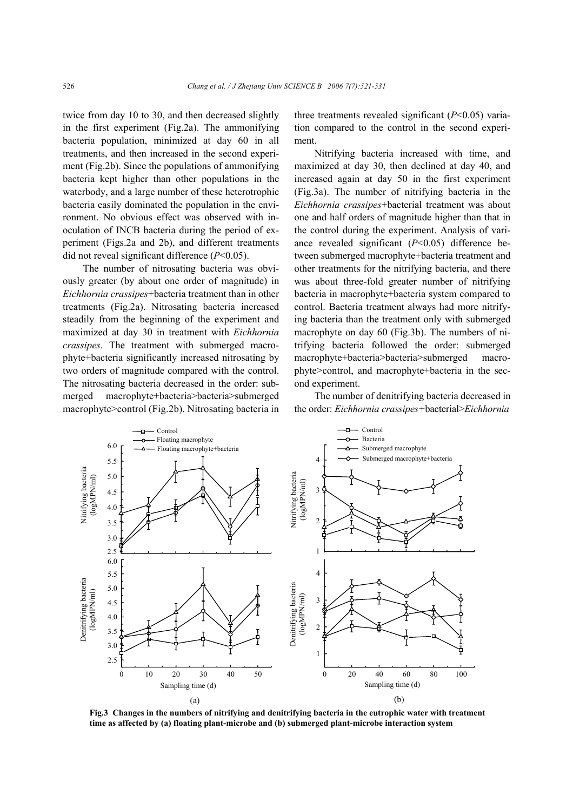twice from day 10 to 30, and then decreased slightly in the first experiment (Fig.2a). The ammonifying bacteria population, minimized at day 60 in all treatments, and then increased in the second experiment (Fig.2b). Since the populations of ammonifying bacteria kept higher than other populations in the waterbody, and a large number of these heterotrophic bacteria easily dominated the population in the environment. No obvious effect was observed with inoculation of INCB bacteria during the period of experiment (Figs.2a and 2b), and different treatments did not reveal significant difference (*P*<0.05).

The number of nitrosating bacteria was obviously greater (by about one order of magnitude) in *Eichhornia crassipes*+bacteria treatment than in other treatments (Fig.2a). Nitrosating bacteria increased steadily from the beginning of the experiment and maximized at day 30 in treatment with *Eichhornia crassipes*. The treatment with submerged macrophyte+bacteria significantly increased nitrosating by two orders of magnitude compared with the control. The nitrosating bacteria decreased in the order: submerged macrophyte+bacteria>bacteria>submerged macrophyte>control (Fig.2b). Nitrosating bacteria in

three treatments revealed significant (*P*<0.05) variation compared to the control in the second experiment.

Nitrifying bacteria increased with time, and maximized at day 30, then declined at day 40, and increased again at day 50 in the first experiment (Fig.3a). The number of nitrifying bacteria in the *Eichhornia crassipes*+bacterial treatment was about one and half orders of magnitude higher than that in the control during the experiment. Analysis of variance revealed significant (*P*<0.05) difference between submerged macrophyte+bacteria treatment and other treatments for the nitrifying bacteria, and there was about three-fold greater number of nitrifying bacteria in macrophyte+bacteria system compared to control. Bacteria treatment always had more nitrifying bacteria than the treatment only with submerged macrophyte on day 60 (Fig.3b). The numbers of nitrifying bacteria followed the order: submerged macrophyte+bacteria>bacteria>submerged macrophyte>control, and macrophyte+bacteria in the second experiment.

The number of denitrifying bacteria decreased in the order: *Eichhornia crassipes+*bacterial>*Eichhornia*



**Fig.3 Changes in the numbers of nitrifying and denitrifying bacteria in the eutrophic water with treatment time as affected by (a) floating plant-microbe and (b) submerged plant-microbe interaction system**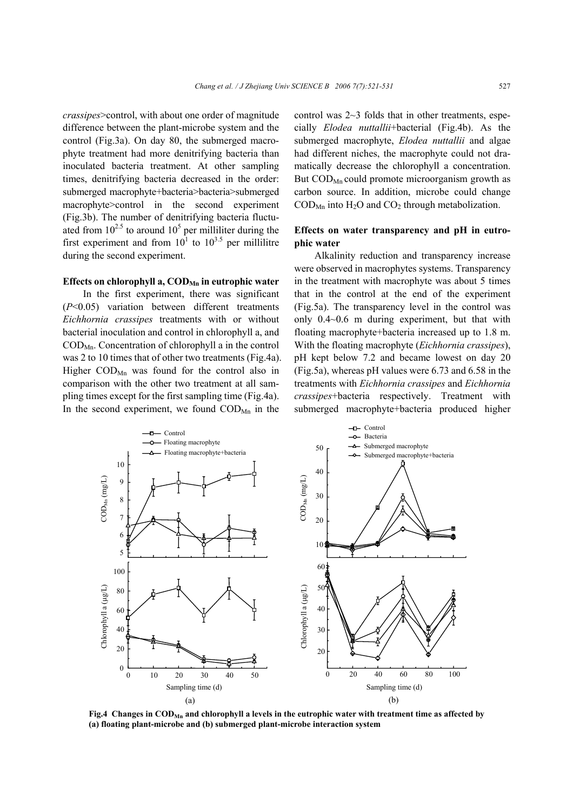*crassipes*>control, with about one order of magnitude difference between the plant-microbe system and the control (Fig.3a). On day 80, the submerged macrophyte treatment had more denitrifying bacteria than inoculated bacteria treatment. At other sampling times, denitrifying bacteria decreased in the order: submerged macrophyte+bacteria>bacteria>submerged macrophyte>control in the second experiment (Fig.3b). The number of denitrifying bacteria fluctuated from  $10^{2.5}$  to around  $10^5$  per milliliter during the first experiment and from  $10^1$  to  $10^{3.5}$  per millilitre during the second experiment.

#### Effects on chlorophyll a, COD<sub>Mn</sub> in eutrophic water

In the first experiment, there was significant (*P*<0.05) variation between different treatments *Eichhornia crassipes* treatments with or without bacterial inoculation and control in chlorophyll a, and  $\text{COD}_{\text{Mn}}$ . Concentration of chlorophyll a in the control was 2 to 10 times that of other two treatments (Fig.4a). Higher  $\text{COD}_{Mn}$  was found for the control also in comparison with the other two treatment at all sampling times except for the first sampling time (Fig.4a). In the second experiment, we found  $\mathrm{COD}_\mathrm{Mn}$  in the

control was 2~3 folds that in other treatments, especially *Elodea nuttallii*+bacterial (Fig.4b). As the submerged macrophyte, *Elodea nuttallii* and algae had different niches, the macrophyte could not dramatically decrease the chlorophyll a concentration. But  $\text{COD}_{\text{Mn}}$  could promote microorganism growth as carbon source. In addition, microbe could change  $\text{COD}_{\text{Mn}}$  into  $\text{H}_2\text{O}$  and  $\text{CO}_2$  through metabolization.

## **Effects on water transparency and pH in eutrophic water**

Alkalinity reduction and transparency increase were observed in macrophytes systems. Transparency in the treatment with macrophyte was about 5 times that in the control at the end of the experiment (Fig.5a). The transparency level in the control was only 0.4~0.6 m during experiment, but that with floating macrophyte+bacteria increased up to 1.8 m. With the floating macrophyte (*Eichhornia crassipes*), pH kept below 7.2 and became lowest on day 20 (Fig.5a), whereas pH values were 6.73 and 6.58 in the treatments with *Eichhornia crassipes* and *Eichhornia crassipes*+bacteria respectively. Treatment with submerged macrophyte+bacteria produced higher



**Fig.4 Changes in CODMn and chlorophyll a levels in the eutrophic water with treatment time as affected by (a) floating plant-microbe and (b) submerged plant-microbe interaction system**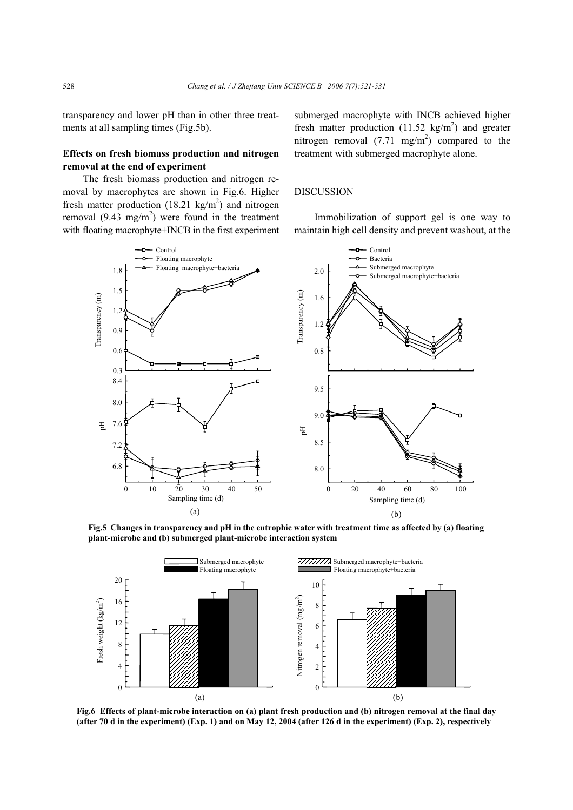transparency and lower pH than in other three treatments at all sampling times (Fig.5b).

# **Effects on fresh biomass production and nitrogen removal at the end of experiment**

The fresh biomass production and nitrogen removal by macrophytes are shown in Fig.6. Higher fresh matter production  $(18.21 \text{ kg/m}^2)$  and nitrogen removal  $(9.43 \text{ mg/m}^2)$  were found in the treatment with floating macrophyte+INCB in the first experiment

submerged macrophyte with INCB achieved higher fresh matter production  $(11.52 \text{ kg/m}^2)$  and greater nitrogen removal  $(7.71 \text{ mg/m}^2)$  compared to the treatment with submerged macrophyte alone.

## DISCUSSION

Immobilization of support gel is one way to maintain high cell density and prevent washout, at the



**Fig.5 Changes in transparency and pH in the eutrophic water with treatment time as affected by (a) floating plant-microbe and (b) submerged plant-microbe interaction system** 



**Fig.6 Effects of plant-microbe interaction on (a) plant fresh production and (b) nitrogen removal at the final day (after 70 d in the experiment) (Exp. 1) and on May 12, 2004 (after 126 d in the experiment) (Exp. 2), respectively**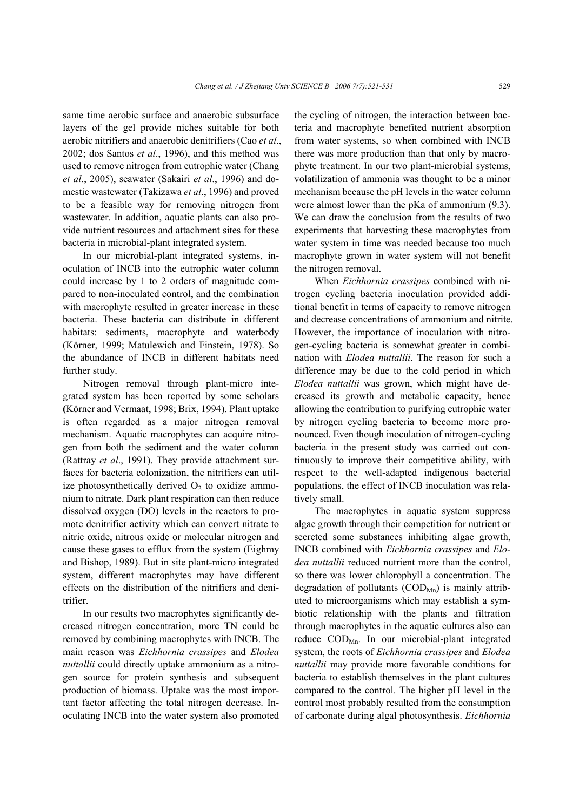same time aerobic surface and anaerobic subsurface layers of the gel provide niches suitable for both aerobic nitrifiers and anaerobic denitrifiers (Cao *et al*., 2002; dos Santos *et al*., 1996), and this method was used to remove nitrogen from eutrophic water (Chang *et al*., 2005), seawater (Sakairi *et al*., 1996) and domestic wastewater (Takizawa *et al*., 1996) and proved to be a feasible way for removing nitrogen from wastewater. In addition, aquatic plants can also provide nutrient resources and attachment sites for these bacteria in microbial-plant integrated system.

In our microbial-plant integrated systems, inoculation of INCB into the eutrophic water column could increase by 1 to 2 orders of magnitude compared to non-inoculated control, and the combination with macrophyte resulted in greater increase in these bacteria. These bacteria can distribute in different habitats: sediments, macrophyte and waterbody (Körner, 1999; Matulewich and Finstein, 1978). So the abundance of INCB in different habitats need further study.

Nitrogen removal through plant-micro integrated system has been reported by some scholars **(**Körner and Vermaat, 1998; Brix, 1994). Plant uptake is often regarded as a major nitrogen removal mechanism. Aquatic macrophytes can acquire nitrogen from both the sediment and the water column (Rattray *et al*., 1991). They provide attachment surfaces for bacteria colonization, the nitrifiers can utilize photosynthetically derived  $O_2$  to oxidize ammonium to nitrate. Dark plant respiration can then reduce dissolved oxygen (DO) levels in the reactors to promote denitrifier activity which can convert nitrate to nitric oxide, nitrous oxide or molecular nitrogen and cause these gases to efflux from the system (Eighmy and Bishop, 1989). But in site plant-micro integrated system, different macrophytes may have different effects on the distribution of the nitrifiers and denitrifier.

In our results two macrophytes significantly decreased nitrogen concentration, more TN could be removed by combining macrophytes with INCB. The main reason was *Eichhornia crassipes* and *Elodea nuttallii* could directly uptake ammonium as a nitrogen source for protein synthesis and subsequent production of biomass. Uptake was the most important factor affecting the total nitrogen decrease. Inoculating INCB into the water system also promoted the cycling of nitrogen, the interaction between bacteria and macrophyte benefited nutrient absorption from water systems, so when combined with INCB there was more production than that only by macrophyte treatment. In our two plant-microbial systems, volatilization of ammonia was thought to be a minor mechanism because the pH levels in the water column were almost lower than the pKa of ammonium (9.3). We can draw the conclusion from the results of two experiments that harvesting these macrophytes from water system in time was needed because too much macrophyte grown in water system will not benefit the nitrogen removal.

When *Eichhornia crassipes* combined with nitrogen cycling bacteria inoculation provided additional benefit in terms of capacity to remove nitrogen and decrease concentrations of ammonium and nitrite. However, the importance of inoculation with nitrogen-cycling bacteria is somewhat greater in combination with *Elodea nuttallii*. The reason for such a difference may be due to the cold period in which *Elodea nuttallii* was grown, which might have decreased its growth and metabolic capacity, hence allowing the contribution to purifying eutrophic water by nitrogen cycling bacteria to become more pronounced. Even though inoculation of nitrogen-cycling bacteria in the present study was carried out continuously to improve their competitive ability, with respect to the well-adapted indigenous bacterial populations, the effect of INCB inoculation was relatively small.

The macrophytes in aquatic system suppress algae growth through their competition for nutrient or secreted some substances inhibiting algae growth, INCB combined with *Eichhornia crassipes* and *Elodea nuttallii* reduced nutrient more than the control, so there was lower chlorophyll a concentration. The degradation of pollutants  $(COD<sub>Mn</sub>)$  is mainly attributed to microorganisms which may establish a symbiotic relationship with the plants and filtration through macrophytes in the aquatic cultures also can reduce  $\text{COD}_{\text{Mn}}$ . In our microbial-plant integrated system, the roots of *Eichhornia crassipes* and *Elodea nuttallii* may provide more favorable conditions for bacteria to establish themselves in the plant cultures compared to the control. The higher pH level in the control most probably resulted from the consumption of carbonate during algal photosynthesis. *Eichhornia*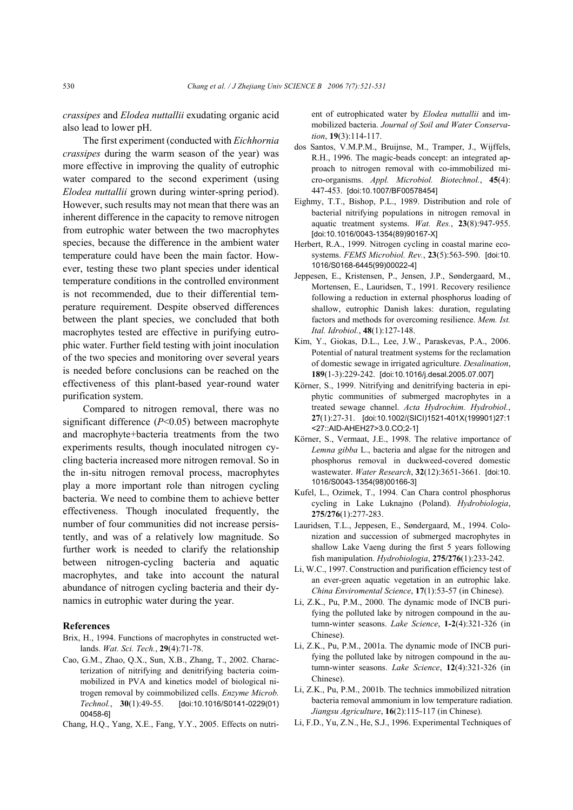*crassipes* and *Elodea nuttallii* exudating organic acid also lead to lower pH.

The first experiment (conducted with *Eichhornia crassipes* during the warm season of the year) was more effective in improving the quality of eutrophic water compared to the second experiment (using *Elodea nuttallii* grown during winter-spring period). However, such results may not mean that there was an inherent difference in the capacity to remove nitrogen from eutrophic water between the two macrophytes species, because the difference in the ambient water temperature could have been the main factor. However, testing these two plant species under identical temperature conditions in the controlled environment is not recommended, due to their differential temperature requirement. Despite observed differences between the plant species, we concluded that both macrophytes tested are effective in purifying eutrophic water. Further field testing with joint inoculation of the two species and monitoring over several years is needed before conclusions can be reached on the effectiveness of this plant-based year-round water purification system.

Compared to nitrogen removal, there was no significant difference (*P*<0.05) between macrophyte and macrophyte+bacteria treatments from the two experiments results, though inoculated nitrogen cycling bacteria increased more nitrogen removal. So in the in-situ nitrogen removal process, macrophytes play a more important role than nitrogen cycling bacteria. We need to combine them to achieve better effectiveness. Though inoculated frequently, the number of four communities did not increase persistently, and was of a relatively low magnitude. So further work is needed to clarify the relationship between nitrogen-cycling bacteria and aquatic macrophytes, and take into account the natural abundance of nitrogen cycling bacteria and their dynamics in eutrophic water during the year.

#### **References**

- Brix, H., 1994. Functions of macrophytes in constructed wetlands. *Wat. Sci. Tech.*, **29**(4):71-78.
- Cao, G.M., Zhao, Q.X., Sun, X.B., Zhang, T., 2002. Characterization of nitrifying and denitrifying bacteria coimmobilized in PVA and kinetics model of biological nitrogen removal by coimmobilized cells. *Enzyme Microb. Technol.*, **30**(1):49-55. [doi:10.1016/S0141-0229(01) 00458-6]
- Chang, H.Q., Yang, X.E., Fang, Y.Y., 2005. Effects on nutri-

ent of eutrophicated water by *Elodea nuttallii* and immobilized bacteria. *Journal of Soil and Water Conservation*, **19**(3):114-117.

- dos Santos, V.M.P.M., Bruijnse, M., Tramper, J., Wijffels, R.H., 1996. The magic-beads concept: an integrated approach to nitrogen removal with co-immobilized micro-organisms. *Appl. Microbiol. Biotechnol.*, **45**(4): 447-453. [doi:10.1007/BF00578454]
- Eighmy, T.T., Bishop, P.L., 1989. Distribution and role of bacterial nitrifying populations in nitrogen removal in aquatic treatment systems. *Wat. Res.*, **23**(8):947-955. [doi:10.1016/0043-1354(89)90167-X]
- Herbert, R.A., 1999. Nitrogen cycling in coastal marine ecosystems. *FEMS Microbiol. Rev.*, **23**(5):563-590. [doi:10. 1016/S0168-6445(99)00022-4]
- Jeppesen, E., Kristensen, P., Jensen, J.P., Søndergaard, M., Mortensen, E., Lauridsen, T., 1991. Recovery resilience following a reduction in external phosphorus loading of shallow, eutrophic Danish lakes: duration, regulating factors and methods for overcoming resilience. *Mem. Ist. Ital. Idrobiol.*, **48**(1):127-148.
- Kim, Y., Giokas, D.L., Lee, J.W., Paraskevas, P.A., 2006. Potential of natural treatment systems for the reclamation of domestic sewage in irrigated agriculture. *Desalination*, **189**(1-3):229-242. [doi:10.1016/j.desal.2005.07.007]
- Körner, S., 1999. Nitrifying and denitrifying bacteria in epiphytic communities of submerged macrophytes in a treated sewage channel. *Acta Hydrochim. Hydrobiol.*, **27**(1):27-31. [doi:10.1002/(SICI)1521-401X(199901)27:1 <27::AID-AHEH27>3.0.CO;2-1]
- Körner, S., Vermaat, J.E., 1998. The relative importance of *Lemna gibba* L., bacteria and algae for the nitrogen and phosphorus removal in duckweed-covered domestic wastewater. *Water Research*, **32**(12):3651-3661. [doi:10. 1016/S0043-1354(98)00166-3]
- Kufel, L., Ozimek, T., 1994. Can Chara control phosphorus cycling in Lake Luknajno (Poland). *Hydrobiologia*, **275/276**(1):277-283.
- Lauridsen, T.L., Jeppesen, E., Søndergaard, M., 1994. Colonization and succession of submerged macrophytes in shallow Lake Vaeng during the first 5 years following fish manipulation. *Hydrobiologia*, **275/276**(1):233-242.
- Li, W.C., 1997. Construction and purification efficiency test of an ever-green aquatic vegetation in an eutrophic lake. *China Enviromental Science*, **17**(1):53-57 (in Chinese).
- Li, Z.K., Pu, P.M., 2000. The dynamic mode of INCB purifying the polluted lake by nitrogen compound in the autumn-winter seasons. *Lake Science*, **1-2**(4):321-326 (in Chinese).
- Li, Z.K., Pu, P.M., 2001a. The dynamic mode of INCB purifying the polluted lake by nitrogen compound in the autumn-winter seasons. *Lake Science*, **12**(4):321-326 (in Chinese).
- Li, Z.K., Pu, P.M., 2001b. The technics immobilized nitration bacteria removal ammonium in low temperature radiation. *Jiangsu Agriculture*, **16**(2):115-117 (in Chinese).
- Li, F.D., Yu, Z.N., He, S.J., 1996. Experimental Techniques of